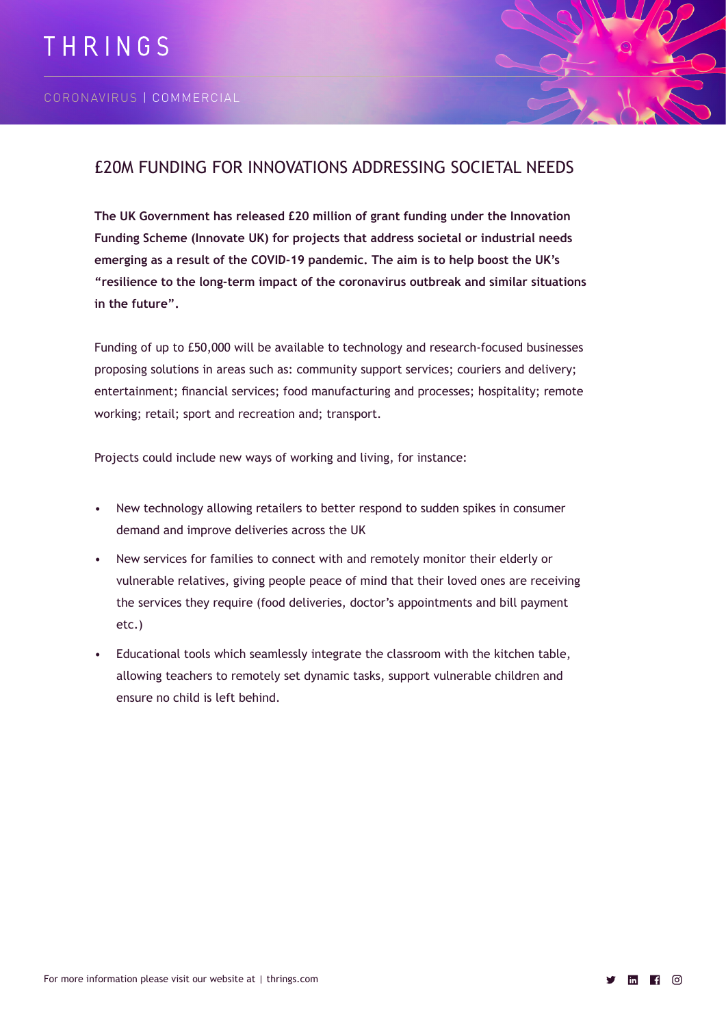

# £20M FUNDING FOR INNOVATIONS ADDRESSING SOCIETAL NEEDS

**The UK Government has released £20 million of grant funding under the Innovation Funding Scheme (Innovate UK) for projects that address societal or industrial needs emerging as a result of the COVID-19 pandemic. The aim is to help boost the UK's "resilience to the long-term impact of the coronavirus outbreak and similar situations in the future".**

Funding of up to £50,000 will be available to technology and research-focused businesses proposing solutions in areas such as: community support services; couriers and delivery; entertainment; financial services; food manufacturing and processes; hospitality; remote working; retail; sport and recreation and; transport.

Projects could include new ways of working and living, for instance:

- New technology allowing retailers to better respond to sudden spikes in consumer demand and improve deliveries across the UK
- New services for families to connect with and remotely monitor their elderly or vulnerable relatives, giving people peace of mind that their loved ones are receiving the services they require (food deliveries, doctor's appointments and bill payment etc.)
- Educational tools which seamlessly integrate the classroom with the kitchen table, allowing teachers to remotely set dynamic tasks, support vulnerable children and ensure no child is left behind.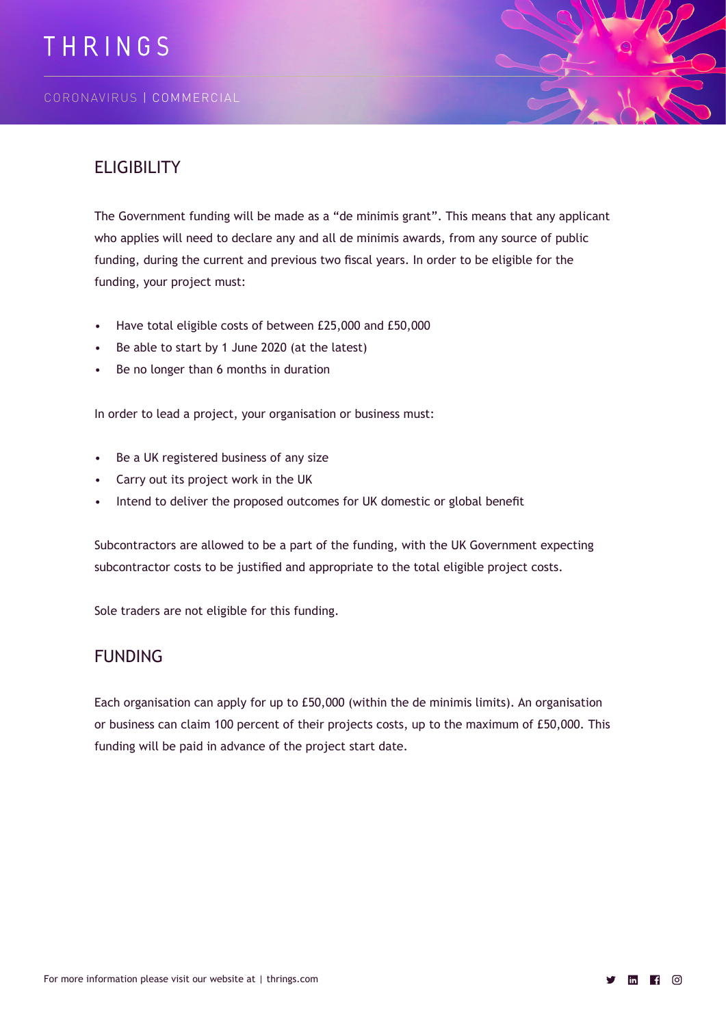

# **ELIGIBILITY**

The Government funding will be made as a "de minimis grant". This means that any applicant who applies will need to declare any and all de minimis awards, from any source of public funding, during the current and previous two fiscal years. In order to be eligible for the funding, your project must:

- Have total eligible costs of between £25,000 and £50,000
- Be able to start by 1 June 2020 (at the latest)
- Be no longer than 6 months in duration

In order to lead a project, your organisation or business must:

- Be a UK registered business of any size
- Carry out its project work in the UK
- Intend to deliver the proposed outcomes for UK domestic or global benefit

Subcontractors are allowed to be a part of the funding, with the UK Government expecting subcontractor costs to be justified and appropriate to the total eligible project costs.

Sole traders are not eligible for this funding.

#### FUNDING

Each organisation can apply for up to £50,000 (within the de minimis limits). An organisation or business can claim 100 percent of their projects costs, up to the maximum of £50,000. This funding will be paid in advance of the project start date.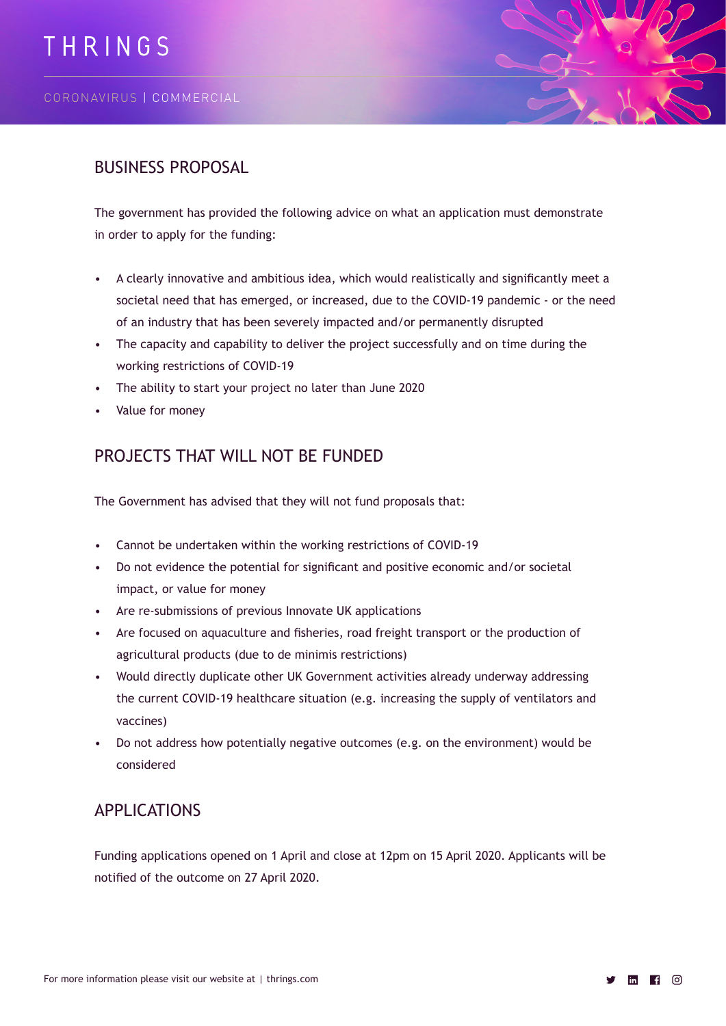

#### BUSINESS PROPOSAL

The government has provided the following advice on what an application must demonstrate in order to apply for the funding:

- A clearly innovative and ambitious idea, which would realistically and significantly meet a societal need that has emerged, or increased, due to the COVID-19 pandemic - or the need of an industry that has been severely impacted and/or permanently disrupted
- The capacity and capability to deliver the project successfully and on time during the working restrictions of COVID-19
- The ability to start your project no later than June 2020
- Value for money

### PROJECTS THAT WILL NOT BE FUNDED

The Government has advised that they will not fund proposals that:

- Cannot be undertaken within the working restrictions of COVID-19
- Do not evidence the potential for significant and positive economic and/or societal impact, or value for money
- Are re-submissions of previous Innovate UK applications
- Are focused on aquaculture and fisheries, road freight transport or the production of agricultural products (due to de minimis restrictions)
- Would directly duplicate other UK Government activities already underway addressing the current COVID-19 healthcare situation (e.g. increasing the supply of ventilators and vaccines)
- Do not address how potentially negative outcomes (e.g. on the environment) would be considered

# APPLICATIONS

Funding applications opened on 1 April and close at 12pm on 15 April 2020. Applicants will be notified of the outcome on 27 April 2020.